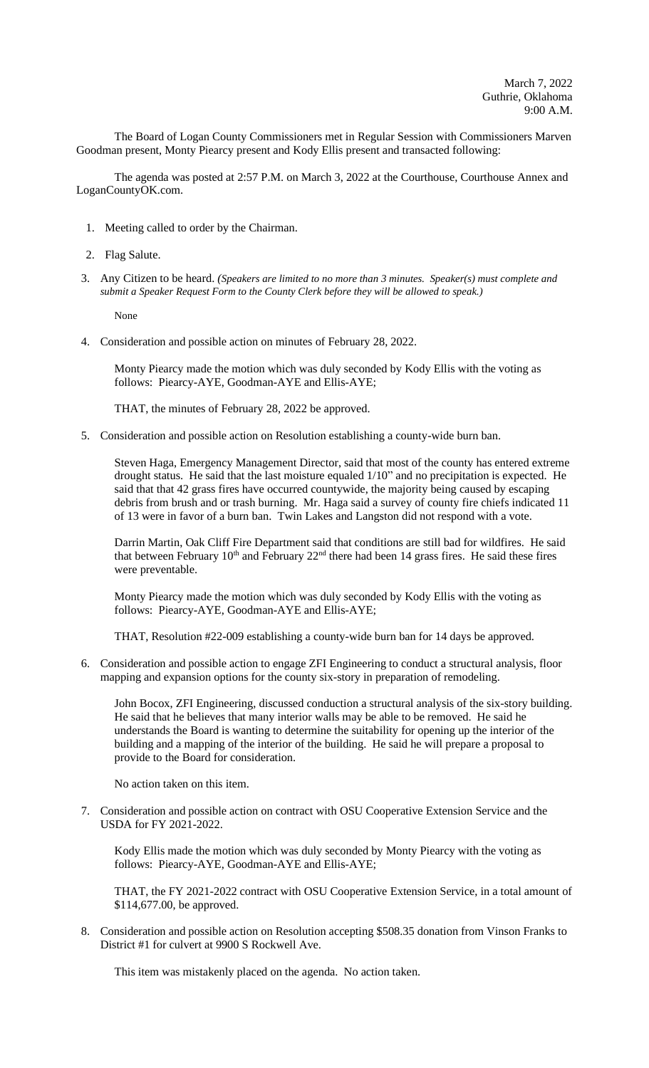The Board of Logan County Commissioners met in Regular Session with Commissioners Marven Goodman present, Monty Piearcy present and Kody Ellis present and transacted following:

The agenda was posted at 2:57 P.M. on March 3, 2022 at the Courthouse, Courthouse Annex and LoganCountyOK.com.

- 1. Meeting called to order by the Chairman.
- 2. Flag Salute.
- 3. Any Citizen to be heard. *(Speakers are limited to no more than 3 minutes. Speaker(s) must complete and submit a Speaker Request Form to the County Clerk before they will be allowed to speak.)*

None

4. Consideration and possible action on minutes of February 28, 2022.

Monty Piearcy made the motion which was duly seconded by Kody Ellis with the voting as follows: Piearcy-AYE, Goodman-AYE and Ellis-AYE;

THAT, the minutes of February 28, 2022 be approved.

5. Consideration and possible action on Resolution establishing a county-wide burn ban.

Steven Haga, Emergency Management Director, said that most of the county has entered extreme drought status. He said that the last moisture equaled 1/10" and no precipitation is expected. He said that that 42 grass fires have occurred countywide, the majority being caused by escaping debris from brush and or trash burning. Mr. Haga said a survey of county fire chiefs indicated 11 of 13 were in favor of a burn ban. Twin Lakes and Langston did not respond with a vote.

Darrin Martin, Oak Cliff Fire Department said that conditions are still bad for wildfires. He said that between February  $10<sup>th</sup>$  and February  $22<sup>nd</sup>$  there had been 14 grass fires. He said these fires were preventable.

Monty Piearcy made the motion which was duly seconded by Kody Ellis with the voting as follows: Piearcy-AYE, Goodman-AYE and Ellis-AYE;

THAT, Resolution #22-009 establishing a county-wide burn ban for 14 days be approved.

6. Consideration and possible action to engage ZFI Engineering to conduct a structural analysis, floor mapping and expansion options for the county six-story in preparation of remodeling.

John Bocox, ZFI Engineering, discussed conduction a structural analysis of the six-story building. He said that he believes that many interior walls may be able to be removed. He said he understands the Board is wanting to determine the suitability for opening up the interior of the building and a mapping of the interior of the building. He said he will prepare a proposal to provide to the Board for consideration.

No action taken on this item.

7. Consideration and possible action on contract with OSU Cooperative Extension Service and the USDA for FY 2021-2022.

Kody Ellis made the motion which was duly seconded by Monty Piearcy with the voting as follows: Piearcy-AYE, Goodman-AYE and Ellis-AYE;

THAT, the FY 2021-2022 contract with OSU Cooperative Extension Service, in a total amount of \$114,677.00, be approved.

8. Consideration and possible action on Resolution accepting \$508.35 donation from Vinson Franks to District #1 for culvert at 9900 S Rockwell Ave.

This item was mistakenly placed on the agenda. No action taken.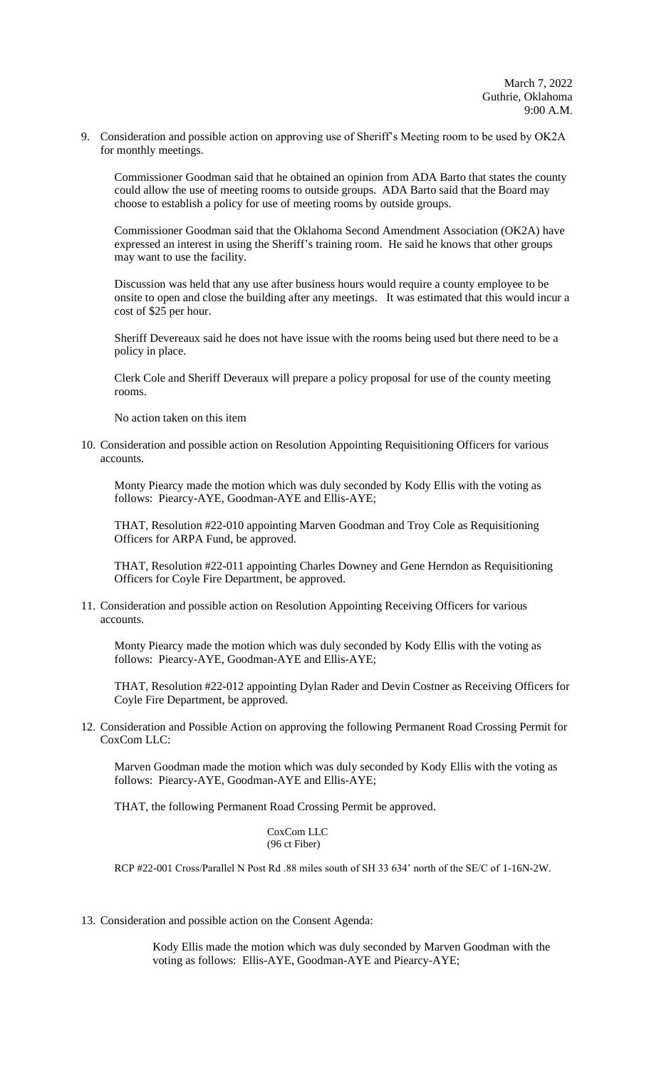9. Consideration and possible action on approving use of Sheriff's Meeting room to be used by OK2A for monthly meetings.

Commissioner Goodman said that he obtained an opinion from ADA Barto that states the county could allow the use of meeting rooms to outside groups. ADA Barto said that the Board may choose to establish a policy for use of meeting rooms by outside groups.

Commissioner Goodman said that the Oklahoma Second Amendment Association (OK2A) have expressed an interest in using the Sheriff's training room. He said he knows that other groups may want to use the facility.

Discussion was held that any use after business hours would require a county employee to be onsite to open and close the building after any meetings. It was estimated that this would incur a cost of \$25 per hour.

Sheriff Devereaux said he does not have issue with the rooms being used but there need to be a policy in place.

Clerk Cole and Sheriff Deveraux will prepare a policy proposal for use of the county meeting rooms.

No action taken on this item

10. Consideration and possible action on Resolution Appointing Requisitioning Officers for various accounts.

Monty Piearcy made the motion which was duly seconded by Kody Ellis with the voting as follows: Piearcy-AYE, Goodman-AYE and Ellis-AYE;

THAT, Resolution #22-010 appointing Marven Goodman and Troy Cole as Requisitioning Officers for ARPA Fund, be approved.

THAT, Resolution #22-011 appointing Charles Downey and Gene Herndon as Requisitioning Officers for Coyle Fire Department, be approved.

11. Consideration and possible action on Resolution Appointing Receiving Officers for various accounts.

Monty Piearcy made the motion which was duly seconded by Kody Ellis with the voting as follows: Piearcy-AYE, Goodman-AYE and Ellis-AYE;

THAT, Resolution #22-012 appointing Dylan Rader and Devin Costner as Receiving Officers for Coyle Fire Department, be approved.

12. Consideration and Possible Action on approving the following Permanent Road Crossing Permit for CoxCom LLC:

Marven Goodman made the motion which was duly seconded by Kody Ellis with the voting as follows: Piearcy-AYE, Goodman-AYE and Ellis-AYE;

THAT, the following Permanent Road Crossing Permit be approved.

CoxCom LLC (96 ct Fiber)

RCP #22-001 Cross/Parallel N Post Rd .88 miles south of SH 33 634' north of the SE/C of 1-16N-2W.

13. Consideration and possible action on the Consent Agenda:

Kody Ellis made the motion which was duly seconded by Marven Goodman with the voting as follows: Ellis-AYE, Goodman-AYE and Piearcy-AYE;